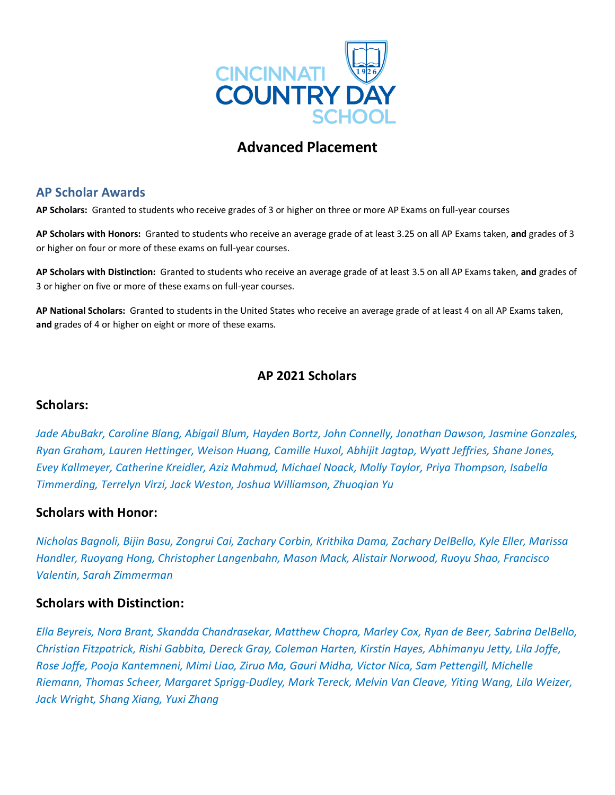

# **Advanced Placement**

## **AP Scholar Awards**

**AP Scholars:** Granted to students who receive grades of 3 or higher on three or more AP Exams on full-year courses

**AP Scholars with Honors:** Granted to students who receive an average grade of at least 3.25 on all AP Exams taken, **and** grades of 3 or higher on four or more of these exams on full-year courses.

**AP Scholars with Distinction:** Granted to students who receive an average grade of at least 3.5 on all AP Exams taken, **and** grades of 3 or higher on five or more of these exams on full-year courses.

**AP National Scholars:** Granted to students in the United States who receive an average grade of at least 4 on all AP Exams taken, **and** grades of 4 or higher on eight or more of these exams.

## **AP 2021 Scholars**

### **Scholars:**

*Jade AbuBakr, Caroline Blang, Abigail Blum, Hayden Bortz, John Connelly, Jonathan Dawson, Jasmine Gonzales, Ryan Graham, Lauren Hettinger, Weison Huang, Camille Huxol, Abhijit Jagtap, Wyatt Jeffries, Shane Jones, Evey Kallmeyer, Catherine Kreidler, Aziz Mahmud, Michael Noack, Molly Taylor, Priya Thompson, Isabella Timmerding, Terrelyn Virzi, Jack Weston, Joshua Williamson, Zhuoqian Yu*

## **Scholars with Honor:**

*Nicholas Bagnoli, Bijin Basu, Zongrui Cai, Zachary Corbin, Krithika Dama, Zachary DelBello, Kyle Eller, Marissa Handler, Ruoyang Hong, Christopher Langenbahn, Mason Mack, Alistair Norwood, Ruoyu Shao, Francisco Valentin, Sarah Zimmerman*

### **Scholars with Distinction:**

*Ella Beyreis, Nora Brant, Skandda Chandrasekar, Matthew Chopra, Marley Cox, Ryan de Beer, Sabrina DelBello, Christian Fitzpatrick, Rishi Gabbita, Dereck Gray, Coleman Harten, Kirstin Hayes, Abhimanyu Jetty, Lila Joffe, Rose Joffe, Pooja Kantemneni, Mimi Liao, Ziruo Ma, Gauri Midha, Victor Nica, Sam Pettengill, Michelle Riemann, Thomas Scheer, Margaret Sprigg-Dudley, Mark Tereck, Melvin Van Cleave, Yiting Wang, Lila Weizer, Jack Wright, Shang Xiang, Yuxi Zhang*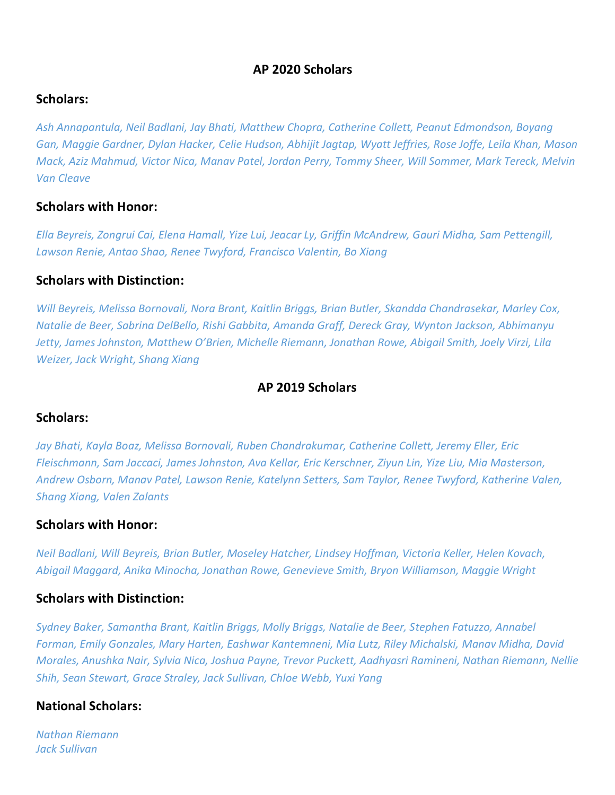## **AP 2020 Scholars**

## **Scholars:**

*Ash Annapantula, Neil Badlani, Jay Bhati, Matthew Chopra, Catherine Collett, Peanut Edmondson, Boyang Gan, Maggie Gardner, Dylan Hacker, Celie Hudson, Abhijit Jagtap, Wyatt Jeffries, Rose Joffe, Leila Khan, Mason Mack, Aziz Mahmud, Victor Nica, Manav Patel, Jordan Perry, Tommy Sheer, Will Sommer, Mark Tereck, Melvin Van Cleave*

### **Scholars with Honor:**

*Ella Beyreis, Zongrui Cai, Elena Hamall, Yize Lui, Jeacar Ly, Griffin McAndrew, Gauri Midha, Sam Pettengill, Lawson Renie, Antao Shao, Renee Twyford, Francisco Valentin, Bo Xiang* 

## **Scholars with Distinction:**

*Will Beyreis, Melissa Bornovali, Nora Brant, Kaitlin Briggs, Brian Butler, Skandda Chandrasekar, Marley Cox, Natalie de Beer, Sabrina DelBello, Rishi Gabbita, Amanda Graff, Dereck Gray, Wynton Jackson, Abhimanyu Jetty, James Johnston, Matthew O'Brien, Michelle Riemann, Jonathan Rowe, Abigail Smith, Joely Virzi, Lila Weizer, Jack Wright, Shang Xiang*

## **AP 2019 Scholars**

### **Scholars:**

*Jay Bhati, Kayla Boaz, Melissa Bornovali, Ruben Chandrakumar, Catherine Collett, Jeremy Eller, Eric Fleischmann, Sam Jaccaci, James Johnston, Ava Kellar, Eric Kerschner, Ziyun Lin, Yize Liu, Mia Masterson, Andrew Osborn, Manav Patel, Lawson Renie, Katelynn Setters, Sam Taylor, Renee Twyford, Katherine Valen, Shang Xiang, Valen Zalants*

### **Scholars with Honor:**

*Neil Badlani, Will Beyreis, Brian Butler, Moseley Hatcher, Lindsey Hoffman, Victoria Keller, Helen Kovach, Abigail Maggard, Anika Minocha, Jonathan Rowe, Genevieve Smith, Bryon Williamson, Maggie Wright*

## **Scholars with Distinction:**

*Sydney Baker, Samantha Brant, Kaitlin Briggs, Molly Briggs, Natalie de Beer, Stephen Fatuzzo, Annabel Forman, Emily Gonzales, Mary Harten, Eashwar Kantemneni, Mia Lutz, Riley Michalski, Manav Midha, David Morales, Anushka Nair, Sylvia Nica, Joshua Payne, Trevor Puckett, Aadhyasri Ramineni, Nathan Riemann, Nellie Shih, Sean Stewart, Grace Straley, Jack Sullivan, Chloe Webb, Yuxi Yang*

### **National Scholars:**

*Nathan Riemann Jack Sullivan*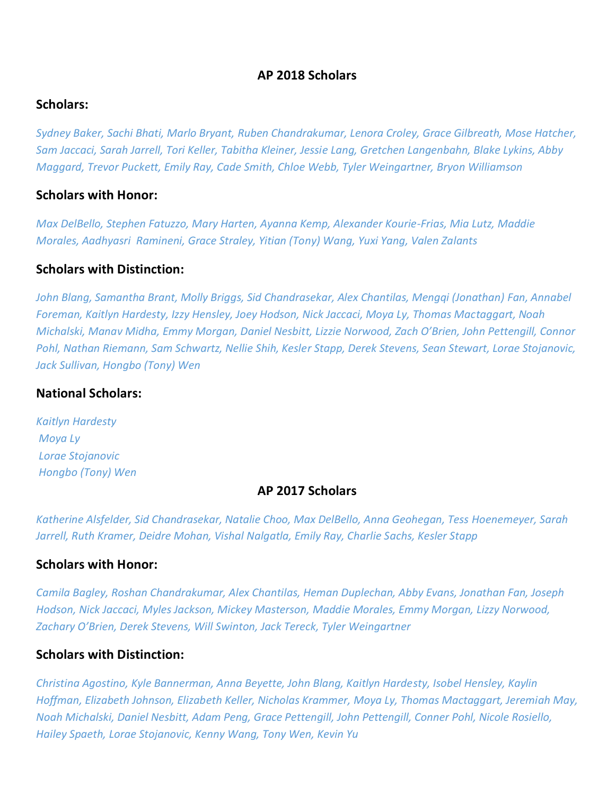## **AP 2018 Scholars**

### **Scholars:**

*Sydney Baker, Sachi Bhati, Marlo Bryant, Ruben Chandrakumar, Lenora Croley, Grace Gilbreath, Mose Hatcher, Sam Jaccaci, Sarah Jarrell, Tori Keller, Tabitha Kleiner, Jessie Lang, Gretchen Langenbahn, Blake Lykins, Abby Maggard, Trevor Puckett, Emily Ray, Cade Smith, Chloe Webb, Tyler Weingartner, Bryon Williamson*

#### **Scholars with Honor:**

*Max DelBello, Stephen Fatuzzo, Mary Harten, Ayanna Kemp, Alexander Kourie-Frias, Mia Lutz, Maddie Morales, Aadhyasri Ramineni, Grace Straley, Yitian (Tony) Wang, Yuxi Yang, Valen Zalants*

#### **Scholars with Distinction:**

*John Blang, Samantha Brant, Molly Briggs, Sid Chandrasekar, Alex Chantilas, Mengqi (Jonathan) Fan, Annabel Foreman, Kaitlyn Hardesty, Izzy Hensley, Joey Hodson, Nick Jaccaci, Moya Ly, Thomas Mactaggart, Noah Michalski, Manav Midha, Emmy Morgan, Daniel Nesbitt, Lizzie Norwood, Zach O'Brien, John Pettengill, Connor Pohl, Nathan Riemann, Sam Schwartz, Nellie Shih, Kesler Stapp, Derek Stevens, Sean Stewart, Lorae Stojanovic, Jack Sullivan, Hongbo (Tony) Wen*

## **National Scholars:**

*Kaitlyn Hardesty Moya Ly Lorae Stojanovic Hongbo (Tony) Wen*

#### **AP 2017 Scholars**

*Katherine Alsfelder, Sid Chandrasekar, Natalie Choo, Max DelBello, Anna Geohegan, Tess Hoenemeyer, Sarah Jarrell, Ruth Kramer, Deidre Mohan, Vishal Nalgatla, Emily Ray, Charlie Sachs, Kesler Stapp*

## **Scholars with Honor:**

*Camila Bagley, Roshan Chandrakumar, Alex Chantilas, Heman Duplechan, Abby Evans, Jonathan Fan, Joseph Hodson, Nick Jaccaci, Myles Jackson, Mickey Masterson, Maddie Morales, Emmy Morgan, Lizzy Norwood, Zachary O'Brien, Derek Stevens, Will Swinton, Jack Tereck, Tyler Weingartner*

### **Scholars with Distinction:**

*Christina Agostino, Kyle Bannerman, Anna Beyette, John Blang, Kaitlyn Hardesty, Isobel Hensley, Kaylin Hoffman, Elizabeth Johnson, Elizabeth Keller, Nicholas Krammer, Moya Ly, Thomas Mactaggart, Jeremiah May, Noah Michalski, Daniel Nesbitt, Adam Peng, Grace Pettengill, John Pettengill, Conner Pohl, Nicole Rosiello, Hailey Spaeth, Lorae Stojanovic, Kenny Wang, Tony Wen, Kevin Yu*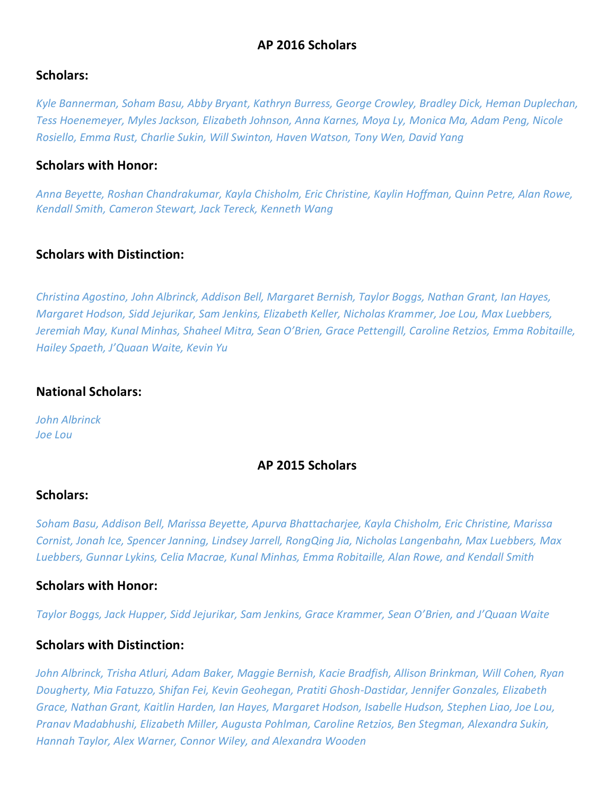## **AP 2016 Scholars**

### **Scholars:**

*Kyle Bannerman, Soham Basu, Abby Bryant, Kathryn Burress, George Crowley, Bradley Dick, Heman Duplechan, Tess Hoenemeyer, Myles Jackson, Elizabeth Johnson, Anna Karnes, Moya Ly, Monica Ma, Adam Peng, Nicole Rosiello, Emma Rust, Charlie Sukin, Will Swinton, Haven Watson, Tony Wen, David Yang*

### **Scholars with Honor:**

*Anna Beyette, Roshan Chandrakumar, Kayla Chisholm, Eric Christine, Kaylin Hoffman, Quinn Petre, Alan Rowe, Kendall Smith, Cameron Stewart, Jack Tereck, Kenneth Wang*

### **Scholars with Distinction:**

*Christina Agostino, John Albrinck, Addison Bell, Margaret Bernish, Taylor Boggs, Nathan Grant, Ian Hayes, Margaret Hodson, Sidd Jejurikar, Sam Jenkins, Elizabeth Keller, Nicholas Krammer, Joe Lou, Max Luebbers, Jeremiah May, Kunal Minhas, Shaheel Mitra, Sean O'Brien, Grace Pettengill, Caroline Retzios, Emma Robitaille, Hailey Spaeth, J'Quaan Waite, Kevin Yu*

#### **National Scholars:**

*John Albrinck Joe Lou*

## **AP 2015 Scholars**

### **Scholars:**

*Soham Basu, Addison Bell, Marissa Beyette, Apurva Bhattacharjee, Kayla Chisholm, Eric Christine, Marissa Cornist, Jonah Ice, Spencer Janning, Lindsey Jarrell, RongQing Jia, Nicholas Langenbahn, Max Luebbers, Max Luebbers, Gunnar Lykins, Celia Macrae, Kunal Minhas, Emma Robitaille, Alan Rowe, and Kendall Smith*

### **Scholars with Honor:**

*Taylor Boggs, Jack Hupper, Sidd Jejurikar, Sam Jenkins, Grace Krammer, Sean O'Brien, and J'Quaan Waite*

### **Scholars with Distinction:**

*John Albrinck, Trisha Atluri, Adam Baker, Maggie Bernish, Kacie Bradfish, Allison Brinkman, Will Cohen, Ryan Dougherty, Mia Fatuzzo, Shifan Fei, Kevin Geohegan, Pratiti Ghosh-Dastidar, Jennifer Gonzales, Elizabeth Grace, Nathan Grant, Kaitlin Harden, Ian Hayes, Margaret Hodson, Isabelle Hudson, Stephen Liao, Joe Lou, Pranav Madabhushi, Elizabeth Miller, Augusta Pohlman, Caroline Retzios, Ben Stegman, Alexandra Sukin, Hannah Taylor, Alex Warner, Connor Wiley, and Alexandra Wooden*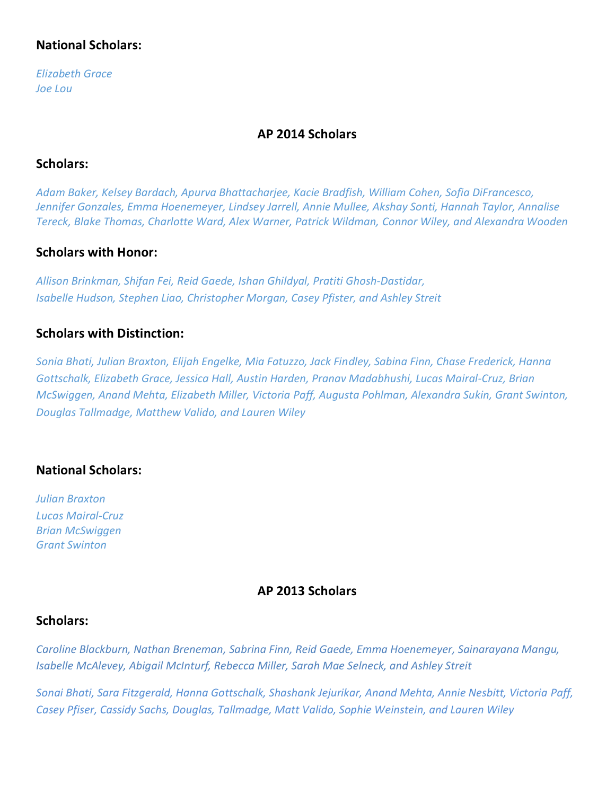## **National Scholars:**

*Elizabeth Grace Joe Lou*

## **AP 2014 Scholars**

## **Scholars:**

*Adam Baker, Kelsey Bardach, Apurva Bhattacharjee, Kacie Bradfish, William Cohen, Sofia DiFrancesco, Jennifer Gonzales, Emma Hoenemeyer, Lindsey Jarrell, Annie Mullee, Akshay Sonti, Hannah Taylor, Annalise Tereck, Blake Thomas, Charlotte Ward, Alex Warner, Patrick Wildman, Connor Wiley, and Alexandra Wooden*

## **Scholars with Honor:**

*Allison Brinkman, Shifan Fei, Reid Gaede, Ishan Ghildyal, Pratiti Ghosh-Dastidar, Isabelle Hudson, Stephen Liao, Christopher Morgan, Casey Pfister, and Ashley Streit*

## **Scholars with Distinction:**

*Sonia Bhati, Julian Braxton, Elijah Engelke, Mia Fatuzzo, Jack Findley, Sabina Finn, Chase Frederick, Hanna Gottschalk, Elizabeth Grace, Jessica Hall, Austin Harden, Pranav Madabhushi, Lucas Mairal-Cruz, Brian McSwiggen, Anand Mehta, Elizabeth Miller, Victoria Paff, Augusta Pohlman, Alexandra Sukin, Grant Swinton, Douglas Tallmadge, Matthew Valido, and Lauren Wiley*

## **National Scholars:**

*Julian Braxton Lucas Mairal-Cruz Brian McSwiggen Grant Swinton*

## **AP 2013 Scholars**

## **Scholars:**

*Caroline Blackburn, Nathan Breneman, Sabrina Finn, Reid Gaede, Emma Hoenemeyer, Sainarayana Mangu, Isabelle McAlevey, Abigail McInturf, Rebecca Miller, Sarah Mae Selneck, and Ashley Streit*

*Sonai Bhati, Sara Fitzgerald, Hanna Gottschalk, Shashank Jejurikar, Anand Mehta, Annie Nesbitt, Victoria Paff, Casey Pfiser, Cassidy Sachs, Douglas, Tallmadge, Matt Valido, Sophie Weinstein, and Lauren Wiley*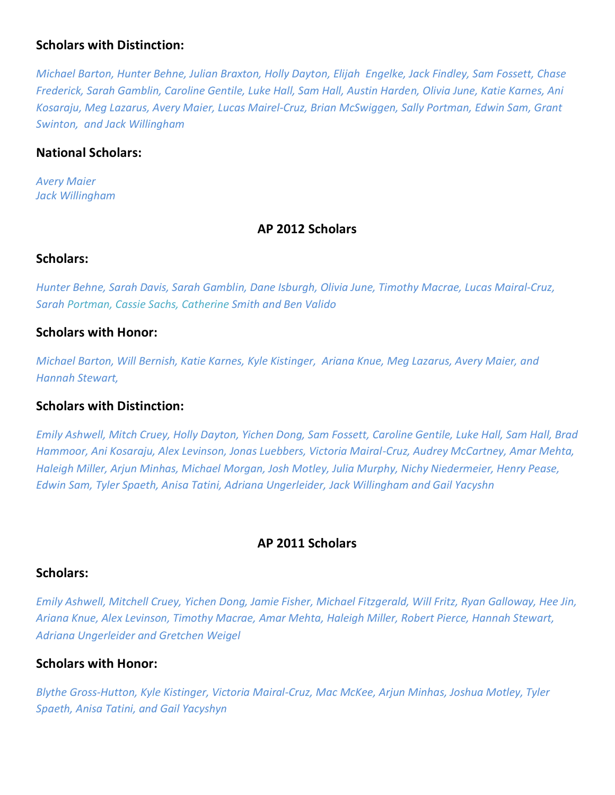## **Scholars with Distinction:**

*Michael Barton, Hunter Behne, Julian Braxton, Holly Dayton, Elijah Engelke, Jack Findley, Sam Fossett, Chase Frederick, Sarah Gamblin, Caroline Gentile, Luke Hall, Sam Hall, Austin Harden, Olivia June, Katie Karnes, Ani Kosaraju, Meg Lazarus, Avery Maier, Lucas Mairel-Cruz, Brian McSwiggen, Sally Portman, Edwin Sam, Grant Swinton, and Jack Willingham*

## **National Scholars:**

*Avery Maier Jack Willingham*

## **AP 2012 Scholars**

### **Scholars:**

*Hunter Behne, Sarah Davis, Sarah Gamblin, Dane Isburgh, Olivia June, Timothy Macrae, Lucas Mairal-Cruz, Sarah Portman, Cassie Sachs, Catherine Smith and Ben Valido*

## **Scholars with Honor:**

*Michael Barton, Will Bernish, Katie Karnes, Kyle Kistinger, Ariana Knue, Meg Lazarus, Avery Maier, and Hannah Stewart,*

## **Scholars with Distinction:**

*Emily Ashwell, Mitch Cruey, Holly Dayton, Yichen Dong, Sam Fossett, Caroline Gentile, Luke Hall, Sam Hall, Brad Hammoor, Ani Kosaraju, Alex Levinson, Jonas Luebbers, Victoria Mairal-Cruz, Audrey McCartney, Amar Mehta, Haleigh Miller, Arjun Minhas, Michael Morgan, Josh Motley, Julia Murphy, Nichy Niedermeier, Henry Pease, Edwin Sam, Tyler Spaeth, Anisa Tatini, Adriana Ungerleider, Jack Willingham and Gail Yacyshn*

## **AP 2011 Scholars**

### **Scholars:**

*Emily Ashwell, Mitchell Cruey, Yichen Dong, Jamie Fisher, Michael Fitzgerald, Will Fritz, Ryan Galloway, Hee Jin, Ariana Knue, Alex Levinson, Timothy Macrae, Amar Mehta, Haleigh Miller, Robert Pierce, Hannah Stewart, Adriana Ungerleider and Gretchen Weigel*

## **Scholars with Honor:**

*Blythe Gross-Hutton, Kyle Kistinger, Victoria Mairal-Cruz, Mac McKee, Arjun Minhas, Joshua Motley, Tyler Spaeth, Anisa Tatini, and Gail Yacyshyn*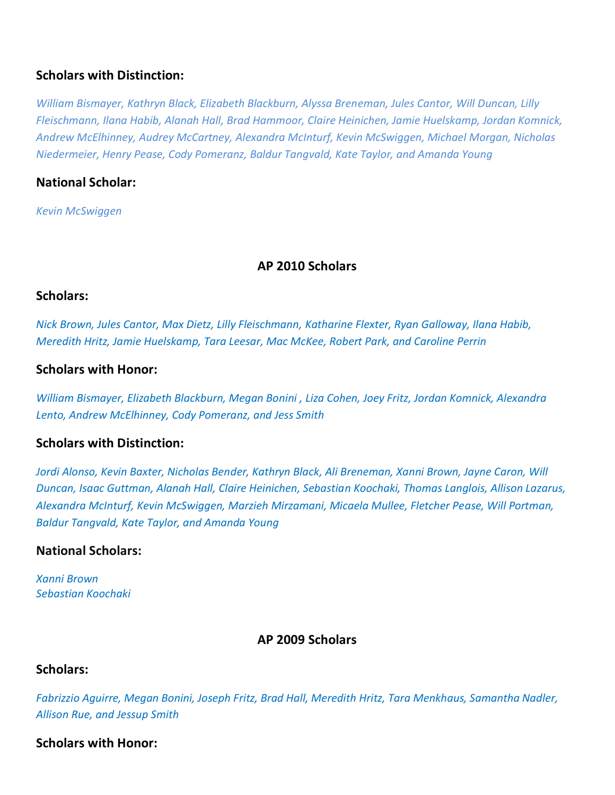## **Scholars with Distinction:**

*William Bismayer, Kathryn Black, Elizabeth Blackburn, Alyssa Breneman, Jules Cantor, Will Duncan, Lilly Fleischmann, Ilana Habib, Alanah Hall, Brad Hammoor, Claire Heinichen, Jamie Huelskamp, Jordan Komnick, Andrew McElhinney, Audrey McCartney, Alexandra McInturf, Kevin McSwiggen, Michael Morgan, Nicholas Niedermeier, Henry Pease, Cody Pomeranz, Baldur Tangvald, Kate Taylor, and Amanda Young*

## **National Scholar:**

*Kevin McSwiggen*

## **AP 2010 Scholars**

### **Scholars:**

*Nick Brown, Jules Cantor, Max Dietz, Lilly Fleischmann, Katharine Flexter, Ryan Galloway, Ilana Habib, Meredith Hritz, Jamie Huelskamp, Tara Leesar, Mac McKee, Robert Park, and Caroline Perrin*

## **Scholars with Honor:**

*William Bismayer, Elizabeth Blackburn, Megan Bonini , Liza Cohen, Joey Fritz, Jordan Komnick, Alexandra Lento, Andrew McElhinney, Cody Pomeranz, and Jess Smith*

### **Scholars with Distinction:**

*Jordi Alonso, Kevin Baxter, Nicholas Bender, Kathryn Black, Ali Breneman, Xanni Brown, Jayne Caron, Will Duncan, Isaac Guttman, Alanah Hall, Claire Heinichen, Sebastian Koochaki, Thomas Langlois, Allison Lazarus, Alexandra McInturf, Kevin McSwiggen, Marzieh Mirzamani, Micaela Mullee, Fletcher Pease, Will Portman, Baldur Tangvald, Kate Taylor, and Amanda Young*

### **National Scholars:**

*Xanni Brown Sebastian Koochaki*

### **AP 2009 Scholars**

### **Scholars:**

*Fabrizzio Aguirre, Megan Bonini, Joseph Fritz, Brad Hall, Meredith Hritz, Tara Menkhaus, Samantha Nadler, Allison Rue, and Jessup Smith*

#### **Scholars with Honor:**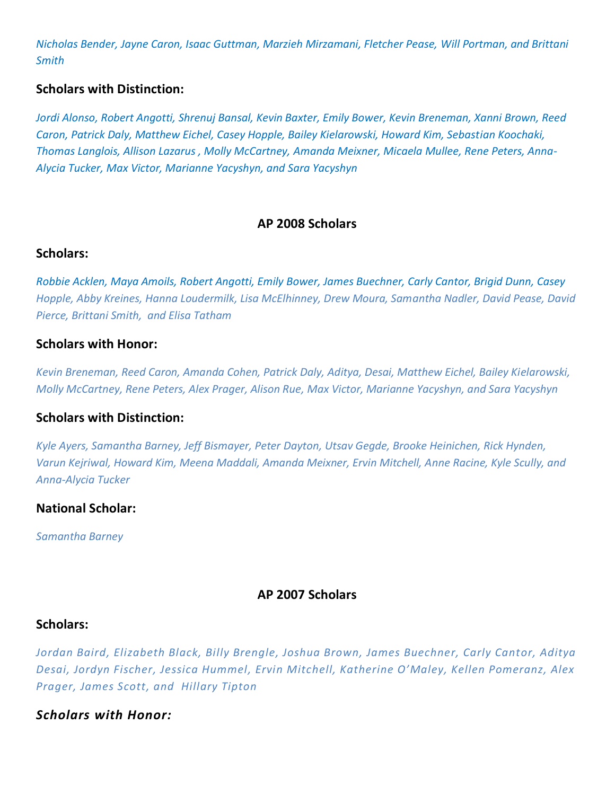*Nicholas Bender, Jayne Caron, Isaac Guttman, Marzieh Mirzamani, Fletcher Pease, Will Portman, and Brittani Smith*

## **Scholars with Distinction:**

*Jordi Alonso, Robert Angotti, Shrenuj Bansal, Kevin Baxter, Emily Bower, Kevin Breneman, Xanni Brown, Reed Caron, Patrick Daly, Matthew Eichel, Casey Hopple, Bailey Kielarowski, Howard Kim, Sebastian Koochaki, Thomas Langlois, Allison Lazarus , Molly McCartney, Amanda Meixner, Micaela Mullee, Rene Peters, Anna-Alycia Tucker, Max Victor, Marianne Yacyshyn, and Sara Yacyshyn*

## **AP 2008 Scholars**

### **Scholars:**

*Robbie Acklen, Maya Amoils, Robert Angotti, Emily Bower, James Buechner, Carly Cantor, Brigid Dunn, Casey Hopple, Abby Kreines, Hanna Loudermilk, Lisa McElhinney, Drew Moura, Samantha Nadler, David Pease, David Pierce, Brittani Smith, and Elisa Tatham*

### **Scholars with Honor:**

*Kevin Breneman, Reed Caron, Amanda Cohen, Patrick Daly, Aditya, Desai, Matthew Eichel, Bailey Kielarowski, Molly McCartney, Rene Peters, Alex Prager, Alison Rue, Max Victor, Marianne Yacyshyn, and Sara Yacyshyn*

### **Scholars with Distinction:**

*Kyle Ayers, Samantha Barney, Jeff Bismayer, Peter Dayton, Utsav Gegde, Brooke Heinichen, Rick Hynden, Varun Kejriwal, Howard Kim, Meena Maddali, Amanda Meixner, Ervin Mitchell, Anne Racine, Kyle Scully, and Anna-Alycia Tucker*

### **National Scholar:**

*Samantha Barney*

### **AP 2007 Scholars**

### **Scholars:**

*Jordan Baird, Elizabeth Black, Billy Brengle, Joshua Brown, James Buechner, Carly Cantor, Aditya Desai, Jordyn Fischer, Jessica Hummel, Ervin Mitchell, Katherine O'Maley, Kellen Pomeranz, Alex Prager, James Scott, and Hillary Tipton*

### *Scholars with Honor:*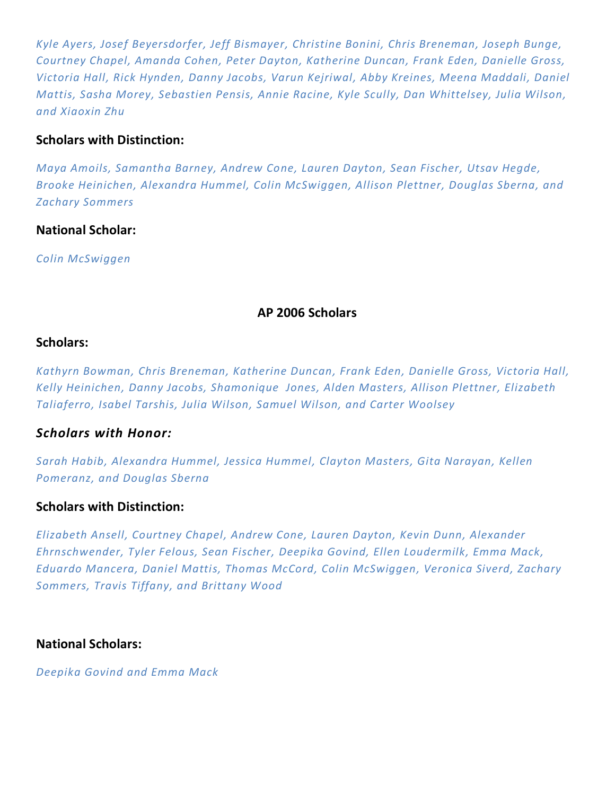*Kyle Ayers, Josef Beyersdorfer, Jeff Bismayer, Christine Bonini, Chris Breneman, Joseph Bunge, Courtney Chapel, Amanda Cohen, Peter Dayton, Katherine Duncan, Frank Eden, Danielle Gross, Victoria Hall, Rick Hynden, Danny Jacobs, Varun Kejriwal, Abby Kreines, Meena Maddali, Daniel Mattis, Sasha Morey, Sebastien Pensis, Annie Racine, Kyle Scully, Dan Whittelsey, Julia Wilson, and Xiaoxin Zhu*

## **Scholars with Distinction:**

*Maya Amoils, Samantha Barney, Andrew Cone, Lauren Dayton, Sean Fischer, Utsav Hegde, Brooke Heinichen, Alexandra Hummel, Colin McSwiggen, Allison Plettner, Douglas Sberna, and Zachary Sommers*

## **National Scholar:**

*Colin McSwiggen*

## **AP 2006 Scholars**

#### **Scholars:**

*Kathyrn Bowman, Chris Breneman, Katherine Duncan, Frank Eden, Danielle Gross, Victoria Hall, Kelly Heinichen, Danny Jacobs, Shamonique Jones, Alden Masters, Allison Plettner, Elizabeth Taliaferro, Isabel Tarshis, Julia Wilson, Samuel Wilson, and Carter Woolsey*

### *Scholars with Honor:*

*Sarah Habib, Alexandra Hummel, Jessica Hummel, Clayton Masters, Gita Narayan, Kellen Pomeranz, and Douglas Sberna*

### **Scholars with Distinction:**

*Elizabeth Ansell, Courtney Chapel, Andrew Cone, Lauren Dayton, Kevin Dunn, Alexander Ehrnschwender, Tyler Felous, Sean Fischer, Deepika Govind, Ellen Loudermilk, Emma Mack, Eduardo Mancera, Daniel Mattis, Thomas McCord, Colin McSwiggen, Veronica Siverd, Zachary Sommers, Travis Tiffany, and Brittany Wood*

### **National Scholars:**

*Deepika Govind and Emma Mack*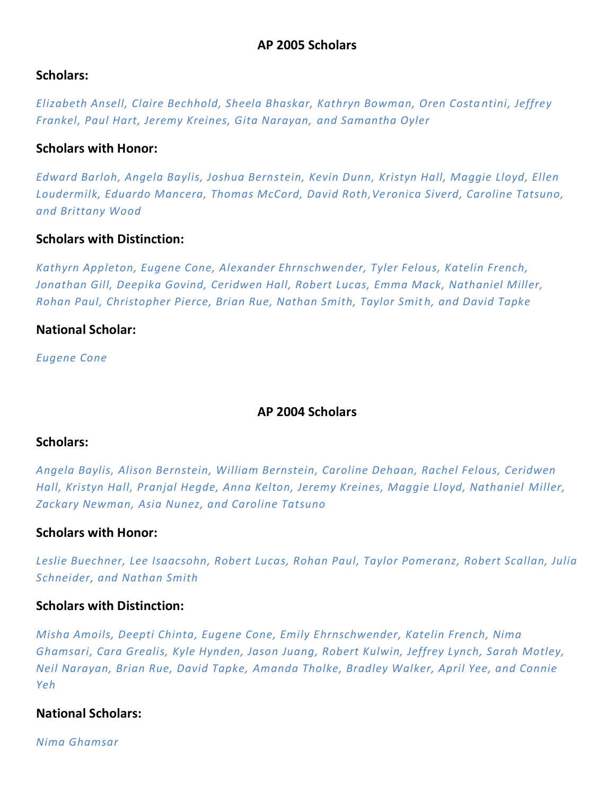## **Scholars:**

*Elizabeth Ansell, Claire Bechhold, Sheela Bhaskar, Kathryn Bowman, Oren Costa ntini, Jeffrey Frankel, Paul Hart, Jeremy Kreines, Gita Narayan, and Samantha Oyler*

## **Scholars with Honor:**

*Edward Barloh, Angela Baylis, Joshua Bernstein, Kevin Dunn, Kristyn Hall, Maggie Lloyd, Ellen Loudermilk, Eduardo Mancera, Thomas McCord, David Roth,Ve ronica Siverd, Caroline Tatsuno, and Brittany Wood*

## **Scholars with Distinction:**

*Kathyrn Appleton, Eugene Cone, Alexander Ehrnschwender, Tyler Felous, Katelin French, Jonathan Gill, Deepika Govind, Ceridwen Hall, Robert Lucas, Emma Mack, Nathaniel Miller, Rohan Paul, Christopher Pierce, Brian Rue, Nathan Smith, Taylor Smit h, and David Tapke*

## **National Scholar:**

*Eugene Cone*

## **AP 2004 Scholars**

## **Scholars:**

*Angela Baylis, Alison Bernstein, William Bernstein, Caroline Dehaan, Rachel Felous, Ceridwen Hall, Kristyn Hall, Pranjal Hegde, Anna Kelton, Jeremy Kreines, Maggie Lloyd, Nathaniel Miller, Zackary Newman, Asia Nunez, and Caroline Tatsuno*

## **Scholars with Honor:**

*Leslie Buechner, Lee Isaacsohn, Robert Lucas, Rohan Paul, Taylor Pomeranz, Robert Scallan, Julia Schneider, and Nathan Smith*

## **Scholars with Distinction:**

*Misha Amoils, Deepti Chinta, Eugene Cone, Emily Ehrnschwender, Katelin French, Nima Ghamsari, Cara Grealis, Kyle Hynden, Jason Juang, Robert Kulwin, Jeffrey Lynch, Sarah Motley, Neil Narayan, Brian Rue, David Tapke, Amanda Tholke, Bradley Walker, April Yee, and Connie Yeh*

## **National Scholars:**

*Nima Ghamsar*